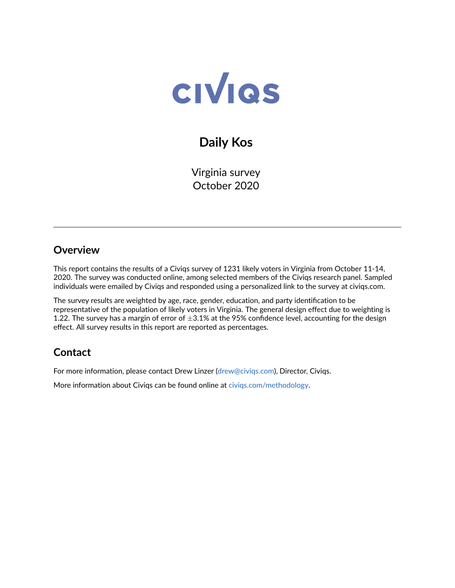

# **Daily Kos**

Virginia survey October 2020

### **Overview**

This report contains the results of a Civiqs survey of 1231 likely voters in Virginia from October 11-14, 2020. The survey was conducted online, among selected members of the Civiqs research panel. Sampled individuals were emailed by Civiqs and responded using a personalized link to the survey at civiqs.com.

The survey results are weighted by age, race, gender, education, and party identification to be representative of the population of likely voters in Virginia. The general design effect due to weighting is 1.22. The survey has a margin of error of  $\pm 3.1\%$  at the 95% confidence level, accounting for the design effect. All survey results in this report are reported as percentages.

## **Contact**

For more information, please contact Drew Linzer [\(drew@civiqs.com\)](mailto:drew@civiqs.com), Director, Civiqs.

More information about Civiqs can be found online at [civiqs.com/methodology.](https://civiqs.com/methodology)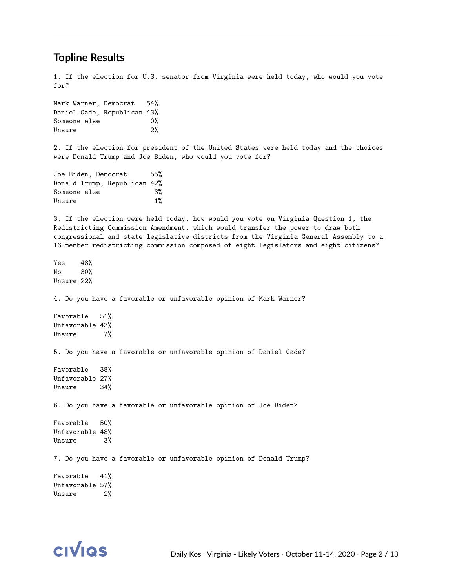#### **Topline Results**

1. If the election for U.S. senator from Virginia were held today, who would you vote for?

Mark Warner, Democrat 54% Daniel Gade, Republican 43% Someone else  $0\%$ Unsure 2%

2. If the election for president of the United States were held today and the choices were Donald Trump and Joe Biden, who would you vote for?

Joe Biden, Democrat 55% Donald Trump, Republican 42% Someone else 3% Unsure 1%

3. If the election were held today, how would you vote on Virginia Question 1, the Redistricting Commission Amendment, which would transfer the power to draw both congressional and state legislative districts from the Virginia General Assembly to a 16-member redistricting commission composed of eight legislators and eight citizens?

Yes 48% No 30% Unsure 22%

4. Do you have a favorable or unfavorable opinion of Mark Warner?

Favorable 51% Unfavorable 43% Unsure 7%

5. Do you have a favorable or unfavorable opinion of Daniel Gade?

Favorable 38% Unfavorable 27% Unsure 34%

6. Do you have a favorable or unfavorable opinion of Joe Biden?

Favorable 50% Unfavorable 48% Unsure  $3%$ 

7. Do you have a favorable or unfavorable opinion of Donald Trump?

Favorable 41% Unfavorable 57% Unsure 2%

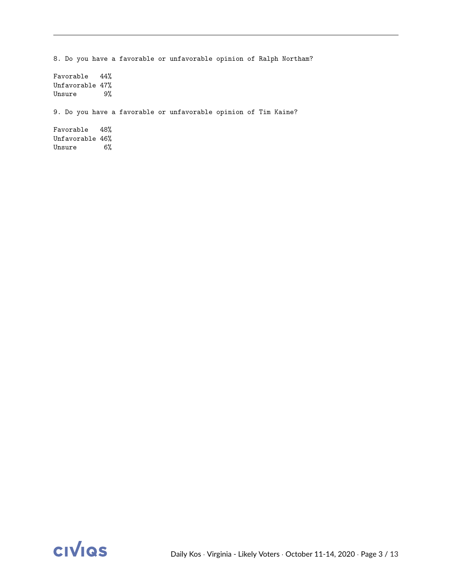8. Do you have a favorable or unfavorable opinion of Ralph Northam? Favorable 44% Unfavorable 47% Unsure 9% 9. Do you have a favorable or unfavorable opinion of Tim Kaine? Favorable 48% Unfavorable 46% Unsure 6%

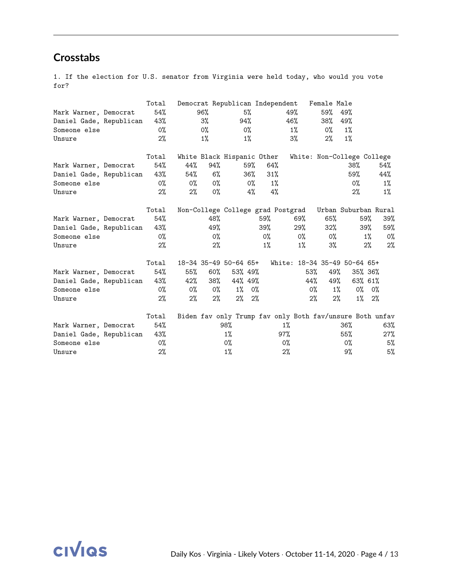## **Crosstabs**

1. If the election for U.S. senator from Virginia were held today, who would you vote for?

|                         | Total | Democrat Republican Independent                          |       |       |         |        |       |       |                              |       |       | Female Male          |       |         |       |
|-------------------------|-------|----------------------------------------------------------|-------|-------|---------|--------|-------|-------|------------------------------|-------|-------|----------------------|-------|---------|-------|
| Mark Warner, Democrat   | 54%   |                                                          | 96%   |       | 5%      |        |       |       | 49%                          |       | 59%   | 49%                  |       |         |       |
| Daniel Gade, Republican | 43%   |                                                          | 3%    |       | 94%     |        |       |       | 46%                          |       | 38%   | 49%                  |       |         |       |
| Someone else            | $0\%$ |                                                          | $0\%$ |       | 0%      |        |       |       | $1\%$                        |       | 0%    | 1%                   |       |         |       |
| Unsure                  | 2%    |                                                          | $1\%$ |       |         | $1\%$  |       |       | 3%                           |       | $2\%$ | $1\%$                |       |         |       |
|                         | Total | White Black Hispanic Other                               |       |       |         |        |       |       | White: Non-College College   |       |       |                      |       |         |       |
| Mark Warner, Democrat   | 54%   | 44%                                                      | 94%   |       |         | 59%    | 64%   |       |                              |       |       | 38%                  |       |         | 54%   |
| Daniel Gade, Republican | 43%   | 54%                                                      |       | $6\%$ |         | $36\%$ | 31%   |       |                              |       |       | 59%                  |       |         | 44%   |
| Someone else            | $0\%$ | 0%                                                       |       | 0%    |         | 0%     |       | $1\%$ |                              |       |       |                      | 0%    |         | $1\%$ |
| Unsure                  | 2%    | 2%                                                       |       | $0\%$ |         | 4%     |       | 4%    |                              |       |       |                      | $2\%$ |         | $1\%$ |
|                         | Total | Non-College College grad Postgrad                        |       |       |         |        |       |       |                              |       |       | Urban Suburban Rural |       |         |       |
| Mark Warner, Democrat   | 54%   |                                                          | 48%   |       |         |        | 59%   |       | 69%                          |       | 65%   |                      | 59%   |         | 39%   |
| Daniel Gade, Republican | 43%   |                                                          | 49%   |       |         |        | 39%   |       | 29%                          |       | 32%   |                      | 39%   |         | 59%   |
| Someone else            | $0\%$ |                                                          |       | $0\%$ |         |        | 0%    |       | 0%                           |       | $0\%$ |                      |       | $1\%$   | 0%    |
| Unsure                  | 2%    |                                                          |       | 2%    |         |        | $1\%$ |       | $1\%$                        |       | $3\%$ |                      |       | $2\%$   | 2%    |
|                         | Total | 18-34 35-49 50-64 65+                                    |       |       |         |        |       |       | White: 18-34 35-49 50-64 65+ |       |       |                      |       |         |       |
| Mark Warner, Democrat   | 54%   | 55%                                                      | 60%   |       | 53% 49% |        |       |       |                              | 53%   | 49%   |                      |       | 35% 36% |       |
| Daniel Gade, Republican | 43%   | 42%                                                      | 38%   |       | 44% 49% |        |       |       |                              | 44%   | 49%   |                      |       | 63% 61% |       |
| Someone else            | $0\%$ | 0%                                                       |       | 0%    | $1\%$   | 0%     |       |       |                              | 0%    |       | $1\%$                | 0%    | 0%      |       |
| Unsure                  | 2%    | $2\%$                                                    |       | 2%    | 2%      | 2%     |       |       |                              | $2\%$ |       | 2%                   | $1\%$ | 2%      |       |
|                         | Total | Biden fav only Trump fav only Both fav/unsure Both unfav |       |       |         |        |       |       |                              |       |       |                      |       |         |       |
| Mark Warner, Democrat   | 54%   |                                                          |       | 98%   |         |        |       | $1\%$ |                              |       |       | 36%                  |       |         | 63%   |
| Daniel Gade, Republican | 43%   |                                                          |       | $1\%$ |         |        |       | 97%   |                              |       |       | 55%                  |       |         | 27%   |
| Someone else            | $0\%$ |                                                          |       | 0%    |         |        |       | 0%    |                              |       |       | 0%                   |       |         | 5%    |
| Unsure                  | $2\%$ |                                                          |       | $1\%$ |         |        |       | $2\%$ |                              |       |       | 9%                   |       |         | 5%    |

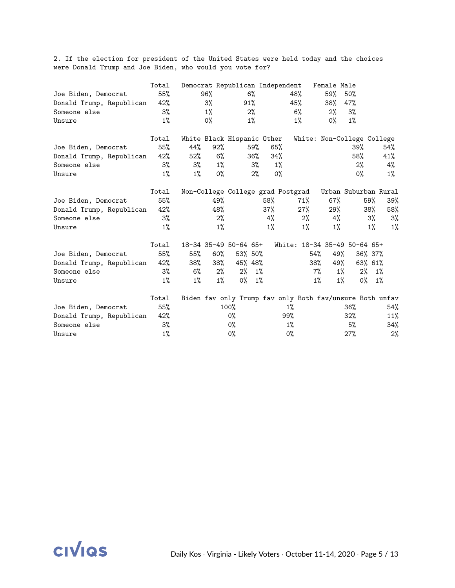2. If the election for president of the United States were held today and the choices were Donald Trump and Joe Biden, who would you vote for?

|                          | Total |        | Democrat Republican Independent   |         |        |        |       |        | Female Male |                                                          |         |       |
|--------------------------|-------|--------|-----------------------------------|---------|--------|--------|-------|--------|-------------|----------------------------------------------------------|---------|-------|
| Joe Biden, Democrat      | 55%   |        | 96%                               |         | $6\%$  |        |       | 48%    | 59%         | $50\%$                                                   |         |       |
| Donald Trump, Republican | 42%   |        | 3%                                |         | 91%    |        | 45%   |        | 38%         | 47%                                                      |         |       |
| Someone else             | 3%    |        | $1\%$                             |         | $2\%$  |        |       | 6%     | $2\%$       | 3%                                                       |         |       |
| Unsure                   | $1\%$ |        | $0\%$                             |         | 1%     |        |       | $1\%$  | 0%          | $1\%$                                                    |         |       |
|                          | Total |        | White Black Hispanic Other        |         |        |        |       |        |             | White: Non-College College                               |         |       |
| Joe Biden, Democrat      | 55%   | 44%    | 92%                               |         | 59%    | 65%    |       |        |             | 39%                                                      |         | 54%   |
| Donald Trump, Republican | 42%   | $52\%$ | 6%                                |         | $36\%$ | 34%    |       |        |             | 58%                                                      |         | 41%   |
| Someone else             | $3\%$ | 3%     | $1\%$                             |         | $3\%$  |        | 1%    |        |             | 2%                                                       |         | 4%    |
| Unsure                   | $1\%$ | $1\%$  | $0\%$                             |         | 2%     |        | $0\%$ |        |             | $0\%$                                                    |         | $1\%$ |
|                          | Total |        | Non-College College grad Postgrad |         |        |        |       |        |             | Urban Suburban Rural                                     |         |       |
| Joe Biden, Democrat      | 55%   |        | 49%                               |         |        | 58%    |       | 71%    | $67\%$      |                                                          | 59%     | 39%   |
| Donald Trump, Republican | 42%   |        | 48%                               |         |        | $37\%$ |       | $27\%$ | 29%         |                                                          | 38%     | 58%   |
| Someone else             | 3%    |        | 2%                                |         |        | 4%     |       | $2\%$  | $4\%$       |                                                          | 3%      | 3%    |
| Unsure                   | $1\%$ |        | $1\%$                             |         |        | $1\%$  |       | $1\%$  | $1\%$       |                                                          | $1\%$   | $1\%$ |
|                          | Total |        | 18-34 35-49 50-64 65+             |         |        |        |       |        |             | White: 18-34 35-49 50-64 65+                             |         |       |
| Joe Biden, Democrat      | 55%   | 55%    | 60%                               | 53% 50% |        |        |       | 54%    | 49%         |                                                          | 36% 37% |       |
| Donald Trump, Republican | 42%   | 38%    | 38%                               | 45% 48% |        |        |       | 38%    |             | 49%                                                      | 63% 61% |       |
| Someone else             | $3\%$ | 6%     | $2\%$                             | $2\%$   | $1\%$  |        |       | 7%     |             | $1\%$                                                    | $2\%$   | $1\%$ |
| Unsure                   | $1\%$ | $1\%$  | $1\%$                             | 0%      | $1\%$  |        |       | $1\%$  |             | $1\%$                                                    | 0%      | $1\%$ |
|                          | Total |        |                                   |         |        |        |       |        |             | Biden fav only Trump fav only Both fav/unsure Both unfav |         |       |
| Joe Biden, Democrat      | 55%   |        |                                   | 100%    |        |        | $1\%$ |        |             | 36%                                                      |         | 54%   |
| Donald Trump, Republican | 42%   |        |                                   | 0%      |        |        | 99%   |        |             | 32%                                                      |         | 11%   |
| Someone else             | 3%    |        |                                   | 0%      |        |        | $1\%$ |        |             | 5%                                                       |         | 34%   |
| Unsure                   | $1\%$ |        |                                   | 0%      |        |        | 0%    |        |             | 27%                                                      |         | 2%    |

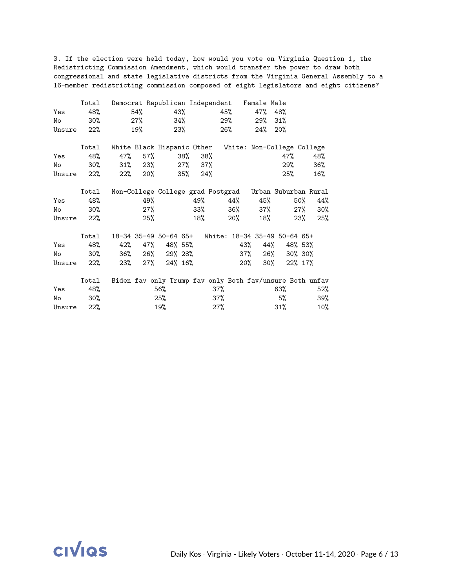3. If the election were held today, how would you vote on Virginia Question 1, the Redistricting Commission Amendment, which would transfer the power to draw both congressional and state legislative districts from the Virginia General Assembly to a 16-member redistricting commission composed of eight legislators and eight citizens?

|        | Total  | Democrat Republican Independent Female Male              |        |                             |     |            |        |         |                 |        |     |         |        |
|--------|--------|----------------------------------------------------------|--------|-----------------------------|-----|------------|--------|---------|-----------------|--------|-----|---------|--------|
| Yes    | 48%    | 54%                                                      |        |                             | 43% |            |        | 45%     | 47%             | 48%    |     |         |        |
| No     | 30%    |                                                          | $27\%$ |                             | 34% |            |        | 29%     | 29%             | $31\%$ |     |         |        |
| Unsure | $22\%$ | 19%                                                      |        |                             | 23% |            |        | 26%     | 24%             | 20%    |     |         |        |
|        | Total  | White Black Hispanic Other White: Non-College College    |        |                             |     |            |        |         |                 |        |     |         |        |
| Yes    | 48%    | 47%                                                      | 57%    |                             | 38% |            | 38%    |         |                 |        | 47% |         | 48%    |
| No     | 30%    | $31\%$ 23%                                               |        |                             |     | $27\%$ 37% |        |         |                 |        | 29% |         | 36%    |
| Unsure | 22%    | 22% 20%                                                  |        |                             | 35% |            | 24%    |         |                 |        | 25% |         | 16%    |
|        | Total  | Non-College College grad Postgrad Urban Suburban Rural   |        |                             |     |            |        |         |                 |        |     |         |        |
| Yes    | 48%    |                                                          | 49%    |                             |     |            |        | 49% 44% |                 | 45%    |     | 50%     | 44%    |
| No     | 30%    |                                                          | $27\%$ |                             |     |            |        | 33% 36% |                 | $37\%$ |     | 27%     | $30\%$ |
| Unsure | 22%    |                                                          | 25%    |                             |     |            | 18%    | $20\%$  |                 | 18%    |     | 23%     | 25%    |
|        | Total  | 18-34 35-49 50-64 65+ White: 18-34 35-49 50-64 65+       |        |                             |     |            |        |         |                 |        |     |         |        |
| Yes    | 48%    |                                                          |        | 42% 47% 48% 55%             |     |            |        |         | 43%             | 44%    |     | 48% 53% |        |
| No     | 30%    |                                                          |        | 36% 26% 29% 28%             |     |            |        |         | 37% 26% 30% 30% |        |     |         |        |
| Unsure | 22%    |                                                          |        | $23\%$ $27\%$ $24\%$ $16\%$ |     |            |        |         | $20\%$          | 30%    |     | 22% 17% |        |
|        | Total  | Biden fav only Trump fav only Both fav/unsure Both unfav |        |                             |     |            |        |         |                 |        |     |         |        |
| Yes    | 48%    |                                                          |        | 56%                         |     |            | 37%    |         |                 | 63%    |     |         | 52%    |
| No     | $30\%$ |                                                          |        | 25%                         |     |            | 37%    |         |                 | 5%     |     |         | 39%    |
| Unsure | 22%    |                                                          |        | 19%                         |     |            | $27\%$ |         |                 | $31\%$ |     |         | $10\%$ |

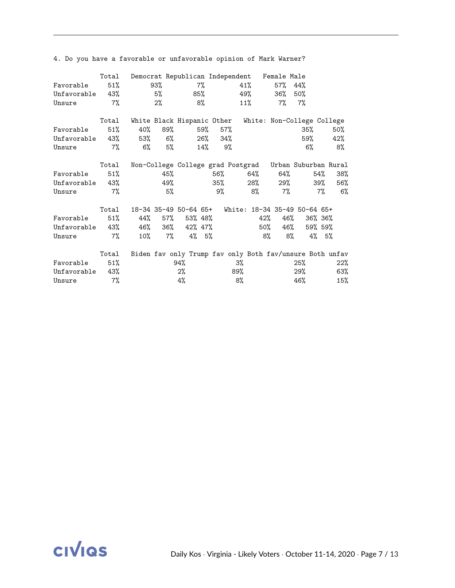|                 | Total  |       |           | Democrat Republican Independent Female Male              |            |        |         |            |     |          |     |
|-----------------|--------|-------|-----------|----------------------------------------------------------|------------|--------|---------|------------|-----|----------|-----|
| Favorable       | 51%    |       | 93%       | 7%                                                       |            |        | 41%     | 57%        | 44% |          |     |
| Unfavorable 43% |        |       | $5\%$     |                                                          | 85%        |        | 49%     | $36\%$ 50% |     |          |     |
| Unsure          | $7\%$  |       | $2\%$     | 8%                                                       |            | $11\%$ |         | 7%         | 7%  |          |     |
|                 | Total  |       |           | White Black Hispanic Other White: Non-College College    |            |        |         |            |     |          |     |
| Favorable       | 51%    | 40%   | 89%       |                                                          | 57%<br>59% |        |         |            | 35% |          | 50% |
| Unfavorable 43% |        |       | 53% 6%    |                                                          | 26% 34%    |        |         |            | 59% |          | 42% |
| Unsure          | $7\%$  | $6\%$ | $5\%$     |                                                          | $14\%$ 9%  |        |         |            | 6%  |          | 8%  |
|                 | Total  |       |           | Non-College College grad Postgrad Urban Suburban Rural   |            |        |         |            |     |          |     |
| Favorable       | 51%    |       | 45%       |                                                          |            | 56%    | 64%     |            | 64% | 54%      | 38% |
| Unfavorable 43% |        |       | 49%       |                                                          |            | 35%    | 28% 29% |            |     | 39%      | 56% |
| Unsure          | 7%     |       | 5%        |                                                          | 9%         |        | 8%      | 7%         |     | 7%       | 6%  |
|                 | Total  |       |           | 18-34 35-49 50-64 65+ White: 18-34 35-49 50-64 65+       |            |        |         |            |     |          |     |
| Favorable       | $51\%$ | 44%   | 57%       | 53% 48%                                                  |            |        | 42%     |            | 46% | 36% 36%  |     |
| Unfavorable 43% |        |       | 46% 36%   | 42% 47%                                                  |            |        | 50%     |            | 46% | 59% 59%  |     |
| Unsure          | 7%     |       | $10\%$ 7% | $4\%$ 5%                                                 |            |        | 8%      |            | 8%  | $4\%$ 5% |     |
|                 | Total  |       |           | Biden fav only Trump fav only Both fav/unsure Both unfav |            |        |         |            |     |          |     |
| Favorable       | 51%    |       |           | 94%                                                      |            | 3%     |         |            | 25% |          | 22% |
| Unfavorable     | 43%    |       |           | $2\%$                                                    |            | 89%    |         |            | 29% |          | 63% |
| Unsure          | 7%     |       |           | 4%                                                       |            | 8%     |         |            | 46% |          | 15% |

4. Do you have a favorable or unfavorable opinion of Mark Warner?

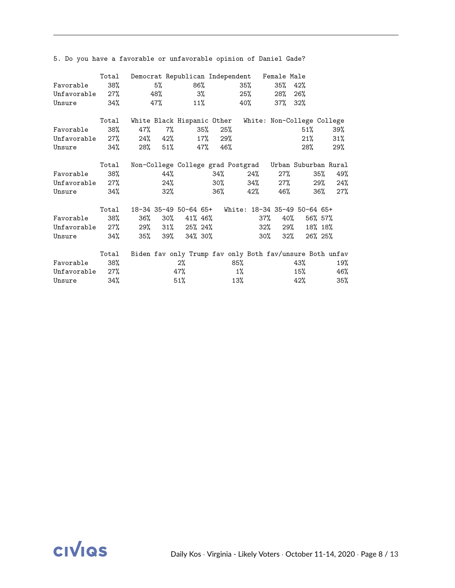|             | Total |         |        |                      |         | Democrat Republican Independent Female Male              |               |        |         |     |
|-------------|-------|---------|--------|----------------------|---------|----------------------------------------------------------|---------------|--------|---------|-----|
| Favorable   | 38%   | 5%      |        | 86%                  |         | 35%                                                      | 35%           | 42%    |         |     |
| Unfavorable | 27%   | 48%     |        | $3\%$                |         | $25\%$                                                   | 28% 26%       |        |         |     |
| Unsure      | 34%   | 47%     |        | 11%                  |         | 40%                                                      | $37\%$ $32\%$ |        |         |     |
|             | Total |         |        |                      |         | White Black Hispanic Other White: Non-College College    |               |        |         |     |
| Favorable   | 38%   | 47%     | $7\%$  | 35%                  | 25%     |                                                          |               | $51\%$ |         | 39% |
| Unfavorable | 27%   | 24% 42% |        |                      | 17% 29% |                                                          |               | 21%    |         | 31% |
| Unsure      | 34%   | 28% 51% |        | 47%                  | 46%     |                                                          |               | 28%    |         | 29% |
|             | Total |         |        |                      |         | Non-College College grad Postgrad Urban Suburban Rural   |               |        |         |     |
| Favorable   | 38%   |         | 44%    |                      | 34%     | 24%                                                      |               | 27%    | 35%     | 49% |
| Unfavorable | 27%   |         | 24%    |                      | $30\%$  | $34\%$ 27%                                               |               |        | 29%     | 24% |
| Unsure      | 34%   |         | $32\%$ |                      | 36%     | 42%                                                      | 46%           |        | 36%     | 27% |
|             | Total |         |        |                      |         | 18-34 35-49 50-64 65+ White: 18-34 35-49 50-64 65+       |               |        |         |     |
| Favorable   | 38%   | 36%     |        | $30\%$ $41\%$ $46\%$ |         |                                                          | 37%           | 40%    | 56% 57% |     |
| Unfavorable | 27%   |         |        | 29% 31% 25% 24%      |         |                                                          | 32%           | 29%    | 18% 18% |     |
| Unsure      | 34%   | 35%     |        | $39\%$ $34\%$ $30\%$ |         |                                                          | 30%           | 32%    | 26% 25% |     |
|             | Total |         |        |                      |         | Biden fav only Trump fav only Both fav/unsure Both unfav |               |        |         |     |
| Favorable   | 38%   |         |        | $2\%$                |         | 85%                                                      |               | 43%    |         | 19% |
| Unfavorable | 27%   |         |        | 47%                  |         | $1\%$                                                    |               | 15%    |         | 46% |
| Unsure      | 34%   |         | 51%    |                      |         | 13%                                                      |               | 42%    |         | 35% |

5. Do you have a favorable or unfavorable opinion of Daniel Gade?

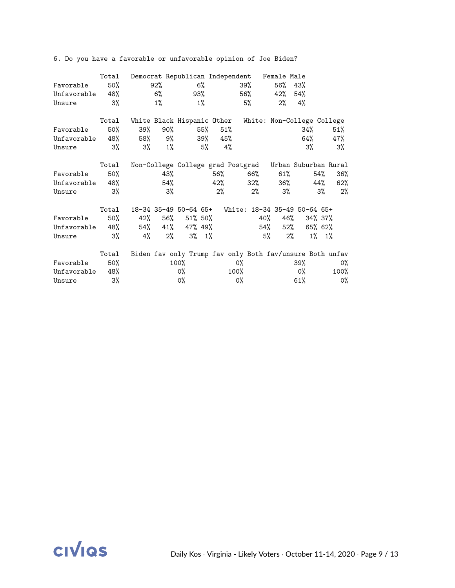|                 | Total  |                         |        | Democrat Republican Independent Female Male              |       |      |                            |       |     |             |      |       |
|-----------------|--------|-------------------------|--------|----------------------------------------------------------|-------|------|----------------------------|-------|-----|-------------|------|-------|
| Favorable       | 50%    |                         | $92\%$ | 6%                                                       |       |      | 39%                        | 56%   | 43% |             |      |       |
| Unfavorable 48% |        |                         | 6% a   |                                                          | 93%   |      | 56%                        | 42%   | 54% |             |      |       |
| Unsure          | 3%     |                         | $1\%$  | $1\%$                                                    |       |      | 5%                         | $2\%$ | 4%  |             |      |       |
|                 | Total  |                         |        | White Black Hispanic Other                               |       |      | White: Non-College College |       |     |             |      |       |
| Favorable       | $50\%$ | 39%                     | $90\%$ |                                                          | 55%   | 51%  |                            |       | 34% |             | 51%  |       |
| Unfavorable 48% |        |                         |        | 58% 9% 39% 45%                                           |       |      |                            |       | 64% |             | 47%  |       |
| Unsure          | 3%     | $3\%$ $1\%$ $5\%$ $4\%$ |        |                                                          |       |      |                            |       | 3%  |             | 3%   |       |
|                 | Total  |                         |        | Non-College College grad Postgrad Urban Suburban Rural   |       |      |                            |       |     |             |      |       |
| Favorable       | 50%    |                         | 43%    |                                                          |       | 56%  | 66%                        |       | 61% | 54%         |      | 36%   |
| Unfavorable 48% |        |                         | 54%    |                                                          |       |      | $42\%$ $32\%$ $36\%$       |       |     | 44%         |      | 62%   |
| Unsure          | 3%     |                         | 3%     |                                                          | $2\%$ |      | $2\%$                      | 3%    |     | 3%          |      | 2%    |
|                 | Total  |                         |        | 18-34 35-49 50-64 65+ White: 18-34 35-49 50-64 65+       |       |      |                            |       |     |             |      |       |
| Favorable       | 50%    |                         |        | 42% 56% 51% 50%                                          |       |      | 40%                        |       | 46% | 34% 37%     |      |       |
| Unfavorable 48% |        |                         |        | 54% 41% 47% 49%                                          |       |      | 54%                        |       | 52% | 65% 62%     |      |       |
| Unsure          | 3%     | 4%                      | $2\%$  | $3\%$ 1%                                                 |       |      |                            | 5%    | 2%  | $1\%$ $1\%$ |      |       |
|                 | Total  |                         |        | Biden fav only Trump fav only Both fav/unsure Both unfav |       |      |                            |       |     |             |      |       |
| Favorable       | 50%    |                         |        | 100%                                                     |       | 0%   |                            |       | 39% |             |      | $0\%$ |
| Unfavorable     | 48%    |                         |        | 0%                                                       |       | 100% |                            |       | 0%  |             | 100% |       |
| Unsure          | 3%     |                         |        | 0%                                                       |       | 0%   |                            |       | 61% |             |      | 0%    |

6. Do you have a favorable or unfavorable opinion of Joe Biden?

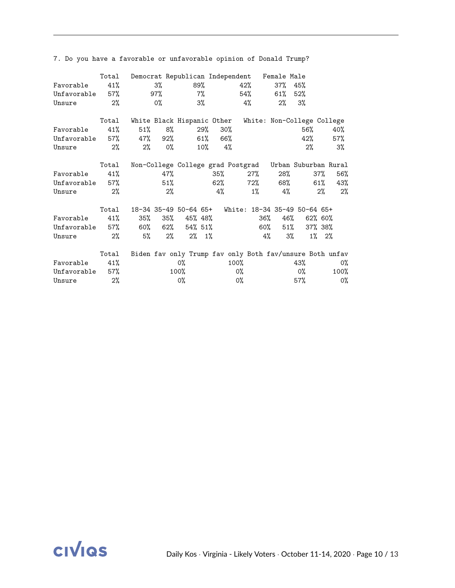|             | Total | Democrat Republican Independent Female Male              |                |           |         |       |             |       |        |          |       |
|-------------|-------|----------------------------------------------------------|----------------|-----------|---------|-------|-------------|-------|--------|----------|-------|
| Favorable   | 41%   | 3%                                                       |                | 89%       |         |       | 42%         | 37%   | 45%    |          |       |
| Unfavorable | 57%   |                                                          | 97%            |           | $7\%$   |       | 54%         | 61%   | 52%    |          |       |
| Unsure      | $2\%$ | 0%                                                       |                | $3\%$     |         |       | 4%          | $2\%$ | 3%     |          |       |
|             | Total | White Black Hispanic Other White: Non-College College    |                |           |         |       |             |       |        |          |       |
| Favorable   | 41%   | 51%                                                      | 8%             |           | 29%     | 30%   |             |       | 56%    |          | 40%   |
| Unfavorable |       | 57% 47% 92% 61% 66%                                      |                |           |         |       |             |       | 42%    |          | 57%   |
| Unsure      | $2\%$ | 2%                                                       | O <sub>0</sub> |           | $10\%$  | 4%    |             |       | 2%     |          | 3%    |
|             | Total | Non-College College grad Postgrad Urban Suburban Rural   |                |           |         |       |             |       |        |          |       |
| Favorable   | 41%   |                                                          | 47%            |           |         | 35%   | 27%         |       | 28%    | 37%      | 56%   |
| Unfavorable | 57%   |                                                          | 51%            |           |         |       | 62% 72% 68% |       |        | 61%      | 43%   |
| Unsure      | 2%    |                                                          | $2\%$          |           | 4%      |       | $1\%$       | 4%    |        | $2\%$    | 2%    |
|             | Total | 18-34 35-49 50-64 65+ White: 18-34 35-49 50-64 65+       |                |           |         |       |             |       |        |          |       |
| Favorable   | 41%   | 35%                                                      | 35%            | 45% 48%   |         |       | 36%         |       | 46%    | 62% 60%  |       |
| Unfavorable | 57%   | 60% 62%                                                  |                |           | 54% 51% |       | 60%         |       | $51\%$ | 37% 38%  |       |
| Unsure      | 2%    | 5%                                                       | 2%             | $2\%$ 1\% |         |       |             | 4%    | 3%     | $1\%$ 2% |       |
|             | Total | Biden fav only Trump fav only Both fav/unsure Both unfav |                |           |         |       |             |       |        |          |       |
| Favorable   | 41%   |                                                          |                | 0%        |         | 100%  |             |       | 43%    |          | $0\%$ |
| Unfavorable | 57%   |                                                          |                | 100%      |         | 0%    |             |       | 0%     |          | 100%  |
| Unsure      | 2%    |                                                          |                | 0%        |         | $0\%$ |             |       | 57%    |          | 0%    |

7. Do you have a favorable or unfavorable opinion of Donald Trump?

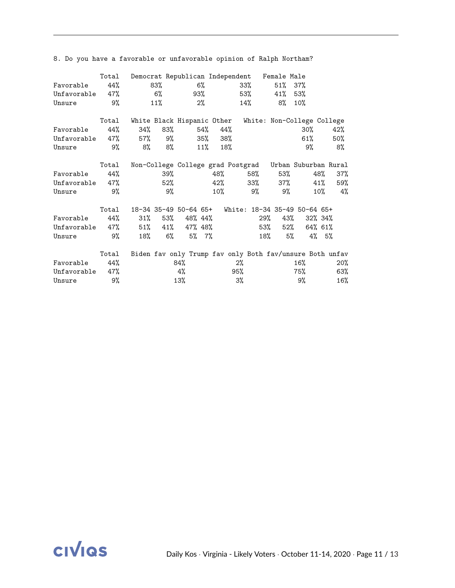|                              | Total | Democrat Republican Independent Female Male           |             |                                                          |            |       |                      |            |             |         |     |
|------------------------------|-------|-------------------------------------------------------|-------------|----------------------------------------------------------|------------|-------|----------------------|------------|-------------|---------|-----|
| Favorable                    | 44%   |                                                       | 83%         | $6\%$                                                    |            |       | 33%                  | 51%        | 37%         |         |     |
| Unfavorable 47%              |       |                                                       | $6\%$       |                                                          | 93%        |       | 53%                  | $41\%$ 53% |             |         |     |
| Unsure                       | 9%    |                                                       | 11%         | $2\%$                                                    |            |       | 14%                  | 8%         | 10%         |         |     |
|                              | Total | White Black Hispanic Other White: Non-College College |             |                                                          |            |       |                      |            |             |         |     |
| Favorable                    | 44%   | 34%                                                   |             | 83%                                                      | 54%        | 44%   |                      |            | 30%         |         | 42% |
| Unfavorable $47\%$ 57% $9\%$ |       |                                                       |             |                                                          | 35% 38%    |       |                      |            | 61%         |         | 50% |
| Unsure                       | 9%    | 8% 8%                                                 |             |                                                          | 11%<br>18% |       |                      |            | 9%          |         | 8%  |
|                              | Total |                                                       |             | Non-College College grad Postgrad Urban Suburban Rural   |            |       |                      |            |             |         |     |
| Favorable                    | 44%   |                                                       | 39%         |                                                          |            | 48%   | 58% 53%              |            |             | 48%     | 37% |
| Unfavorable 47%              |       |                                                       |             | 52%                                                      |            |       | $42\%$ $33\%$ $37\%$ |            |             | 41%     | 59% |
| Unsure                       | 9%    |                                                       | 9%          |                                                          | $10\%$     |       | 9%                   |            | 9%          | $10\%$  | 4%  |
|                              | Total |                                                       |             | 18-34 35-49 50-64 65+ White: 18-34 35-49 50-64 65+       |            |       |                      |            |             |         |     |
| Favorable                    | 44%   |                                                       |             | $31\%$ 53% 48% 44%                                       |            |       | 29%                  |            | 43%         | 32% 34% |     |
| Unfavorable 47%              |       |                                                       |             | 51% 41% 47% 48%                                          |            |       | 53%                  |            | 52% 64% 61% |         |     |
| Unsure                       | 9%    |                                                       | $18% \t 6%$ | $5\%$ 7%                                                 |            |       |                      | 18%        | 5%          | 4% 5%   |     |
|                              | Total |                                                       |             | Biden fav only Trump fav only Both fav/unsure Both unfav |            |       |                      |            |             |         |     |
| Favorable                    | 44%   |                                                       |             | 84%                                                      |            | $2\%$ |                      |            | 16%         |         | 20% |
| Unfavorable                  | 47%   |                                                       |             | 4%                                                       |            | 95%   |                      |            | 75%         |         | 63% |
| Unsure                       | 9%    |                                                       |             | 13%                                                      |            | 3%    |                      |            | 9%          |         | 16% |

8. Do you have a favorable or unfavorable opinion of Ralph Northam?

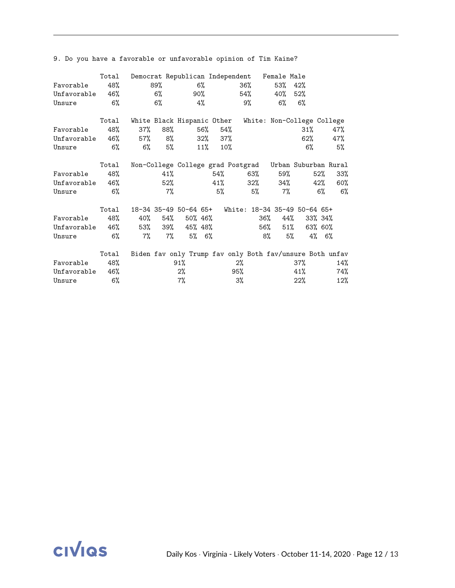|                 | Total |         |         | Democrat Republican Independent Female Male              |         |       |                      |          |        |          |        |
|-----------------|-------|---------|---------|----------------------------------------------------------|---------|-------|----------------------|----------|--------|----------|--------|
| Favorable       | 48%   |         | 89%     | $6\%$                                                    |         |       | $36\%$               | 53%      | 42%    |          |        |
| Unfavorable     | 46%   |         | 6%      |                                                          | 90%     |       | 54%                  | 40%      | 52%    |          |        |
| Unsure          | 6%    |         | 6%      | 4%                                                       |         |       | 9%                   | 6%       | $6\%$  |          |        |
|                 | Total |         |         | White Black Hispanic Other White: Non-College College    |         |       |                      |          |        |          |        |
| Favorable       | 48%   | $37\%$  | 88%     |                                                          | 56%     | 54%   |                      |          | 31%    |          | 47%    |
| Unfavorable     |       | 46% 57% | $8\%$   |                                                          | 32% 37% |       |                      |          | 62%    |          | 47%    |
| Unsure          | 6%    | $6\%$   | 5%      |                                                          | 11%     | 10%   |                      |          | $6\%$  |          | 5%     |
|                 | Total |         |         | Non-College College grad Postgrad Urban Suburban Rural   |         |       |                      |          |        |          |        |
| Favorable       | 48%   |         | 41%     |                                                          |         | 54%   | 63%                  |          | 59%    | 52%      | 33%    |
| Unfavorable 46% |       |         | 52%     |                                                          |         |       | $41\%$ $32\%$ $34\%$ |          |        | 42%      | 60%    |
| Unsure          | $6\%$ |         | $7\%$   |                                                          | $5\%$   |       | $5\%$                | 7%       |        | $6\%$    | $6\%$  |
|                 | Total |         |         | 18-34 35-49 50-64 65+ White: 18-34 35-49 50-64 65+       |         |       |                      |          |        |          |        |
| Favorable       | 48%   |         | 40% 54% | 50% 46%                                                  |         |       | 36%                  |          | 44%    | 33% 34%  |        |
| Unfavorable     | 46%   |         | 53% 39% | 45% 48%                                                  |         |       | 56%                  |          | 51%    | 63% 60%  |        |
| Unsure          | $6\%$ | $7\%$   | $7\%$   | $5\%$ 6%                                                 |         |       |                      | 8%<br>5% |        | $4\%$ 6% |        |
|                 | Total |         |         | Biden fav only Trump fav only Both fav/unsure Both unfav |         |       |                      |          |        |          |        |
| Favorable       | 48%   |         |         | 91%                                                      |         | $2\%$ |                      |          | 37%    |          | 14%    |
| Unfavorable     | 46%   |         |         | $2\%$                                                    |         | 95%   |                      |          | 41%    |          | 74%    |
| Unsure          | 6%    |         |         | $7\%$                                                    |         | 3%    |                      |          | $22\%$ |          | $12\%$ |

9. Do you have a favorable or unfavorable opinion of Tim Kaine?